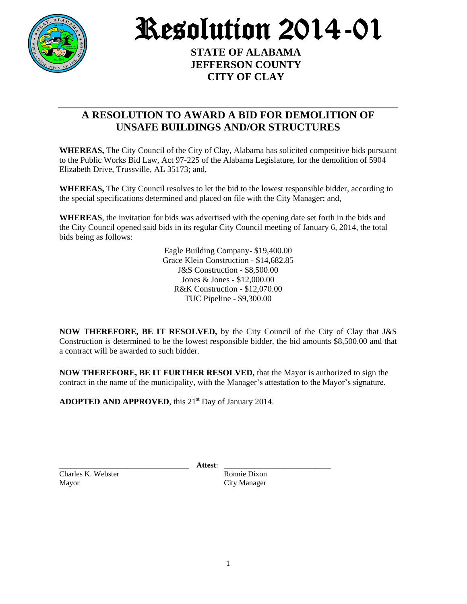

Resolution 2014-01

**STATE OF ALABAMA JEFFERSON COUNTY CITY OF CLAY**

## **A RESOLUTION TO AWARD A BID FOR DEMOLITION OF UNSAFE BUILDINGS AND/OR STRUCTURES**

**WHEREAS,** The City Council of the City of Clay, Alabama has solicited competitive bids pursuant to the Public Works Bid Law, Act 97-225 of the Alabama Legislature, for the demolition of 5904 Elizabeth Drive, Trussville, AL 35173; and,

**WHEREAS,** The City Council resolves to let the bid to the lowest responsible bidder, according to the special specifications determined and placed on file with the City Manager; and,

**WHEREAS**, the invitation for bids was advertised with the opening date set forth in the bids and the City Council opened said bids in its regular City Council meeting of January 6, 2014, the total bids being as follows:

> Eagle Building Company- \$19,400.00 Grace Klein Construction - \$14,682.85 J&S Construction - \$8,500.00 Jones & Jones - \$12,000.00 R&K Construction - \$12,070.00 TUC Pipeline - \$9,300.00

**NOW THEREFORE, BE IT RESOLVED,** by the City Council of the City of Clay that J&S Construction is determined to be the lowest responsible bidder, the bid amounts \$8,500.00 and that a contract will be awarded to such bidder.

**NOW THEREFORE, BE IT FURTHER RESOLVED,** that the Mayor is authorized to sign the contract in the name of the municipality, with the Manager's attestation to the Mayor's signature.

ADOPTED AND APPROVED, this 21<sup>st</sup> Day of January 2014.

\_\_\_\_\_\_\_\_\_\_\_\_\_\_\_\_\_\_\_\_\_\_\_\_\_\_\_\_\_\_\_\_\_\_ **Attest**: \_\_\_\_\_\_\_\_\_\_\_\_\_\_\_\_\_\_\_\_\_\_\_\_\_\_\_\_

Charles K. Webster **Ronnie Dixon** Mayor City Manager